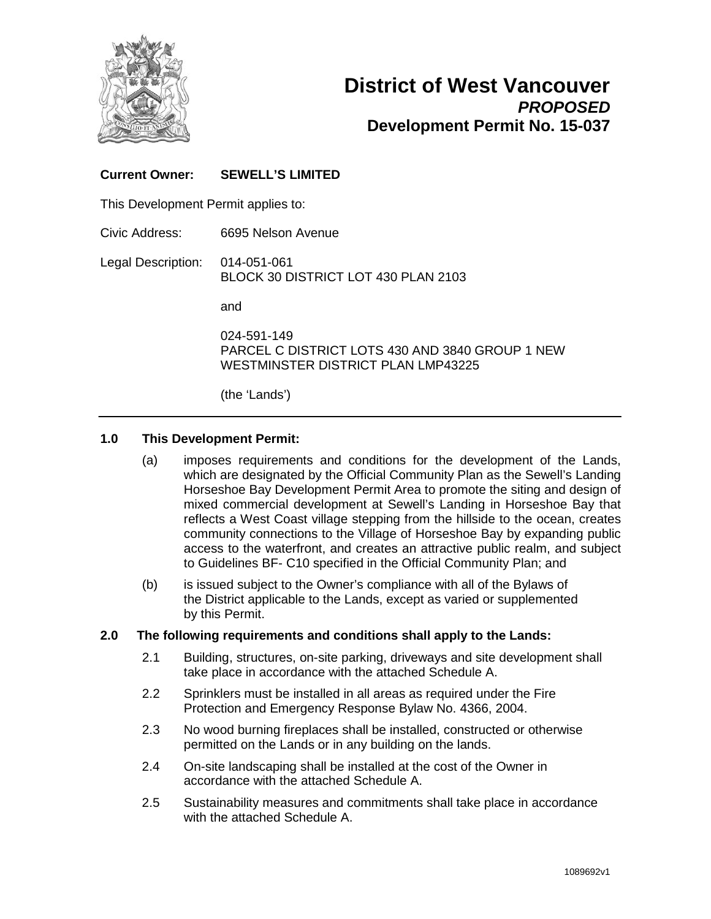

## **District of West Vancouver** *PROPOSED* **Development Permit No. 15-037**

## **Current Owner: SEWELL'S LIMITED**

This Development Permit applies to:

Civic Address: 6695 Nelson Avenue

Legal Description: 014-051-061 BLOCK 30 DISTRICT LOT 430 PLAN 2103

and

024-591-149 PARCEL C DISTRICT LOTS 430 AND 3840 GROUP 1 NEW WESTMINSTER DISTRICT PLAN LMP43225

(the 'Lands')

#### **1.0 This Development Permit:**

- (a) imposes requirements and conditions for the development of the Lands, which are designated by the Official Community Plan as the Sewell's Landing Horseshoe Bay Development Permit Area to promote the siting and design of mixed commercial development at Sewell's Landing in Horseshoe Bay that reflects a West Coast village stepping from the hillside to the ocean, creates community connections to the Village of Horseshoe Bay by expanding public access to the waterfront, and creates an attractive public realm, and subject to Guidelines BF- C10 specified in the Official Community Plan; and
- (b) is issued subject to the Owner's compliance with all of the Bylaws of the District applicable to the Lands, except as varied or supplemented by this Permit.

#### **2.0 The following requirements and conditions shall apply to the Lands:**

- 2.1 Building, structures, on-site parking, driveways and site development shall take place in accordance with the attached Schedule A.
- 2.2 Sprinklers must be installed in all areas as required under the Fire Protection and Emergency Response Bylaw No. 4366, 2004.
- 2.3 No wood burning fireplaces shall be installed, constructed or otherwise permitted on the Lands or in any building on the lands.
- 2.4 On-site landscaping shall be installed at the cost of the Owner in accordance with the attached Schedule A.
- 2.5 Sustainability measures and commitments shall take place in accordance with the attached Schedule A.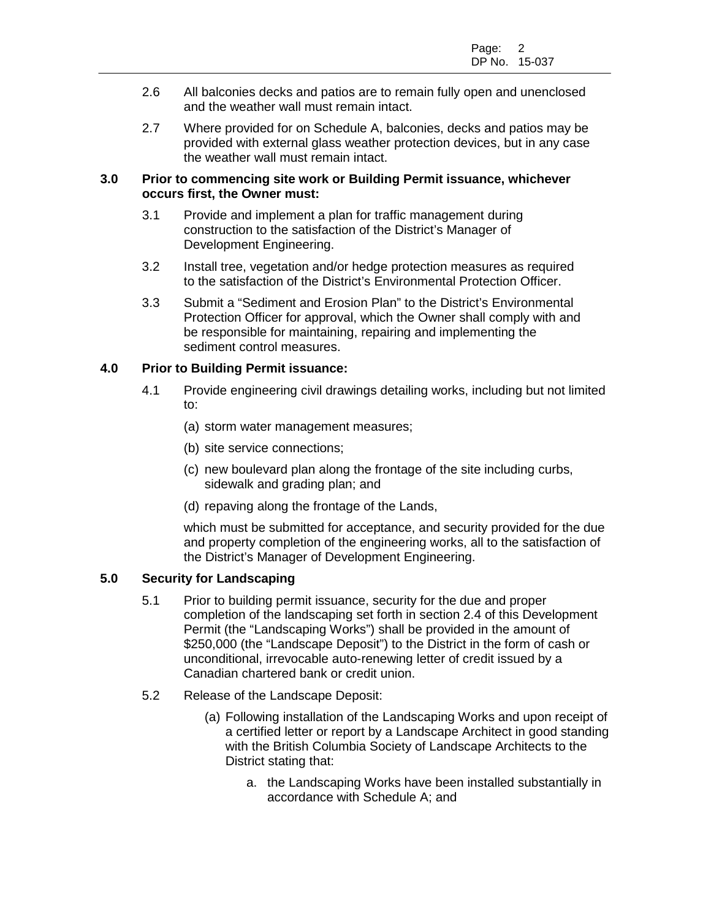- 2.6 All balconies decks and patios are to remain fully open and unenclosed and the weather wall must remain intact.
- 2.7 Where provided for on Schedule A, balconies, decks and patios may be provided with external glass weather protection devices, but in any case the weather wall must remain intact.

### **3.0 Prior to commencing site work or Building Permit issuance, whichever occurs first, the Owner must:**

- 3.1 Provide and implement a plan for traffic management during construction to the satisfaction of the District's Manager of Development Engineering.
- 3.2 Install tree, vegetation and/or hedge protection measures as required to the satisfaction of the District's Environmental Protection Officer.
- 3.3 Submit a "Sediment and Erosion Plan" to the District's Environmental Protection Officer for approval, which the Owner shall comply with and be responsible for maintaining, repairing and implementing the sediment control measures.

## **4.0 Prior to Building Permit issuance:**

- 4.1 Provide engineering civil drawings detailing works, including but not limited to:
	- (a) storm water management measures;
	- (b) site service connections;
	- (c) new boulevard plan along the frontage of the site including curbs, sidewalk and grading plan; and
	- (d) repaving along the frontage of the Lands,

which must be submitted for acceptance, and security provided for the due and property completion of the engineering works, all to the satisfaction of the District's Manager of Development Engineering.

#### **5.0 Security for Landscaping**

- 5.1 Prior to building permit issuance, security for the due and proper completion of the landscaping set forth in section 2.4 of this Development Permit (the "Landscaping Works") shall be provided in the amount of \$250,000 (the "Landscape Deposit") to the District in the form of cash or unconditional, irrevocable auto-renewing letter of credit issued by a Canadian chartered bank or credit union.
- 5.2 Release of the Landscape Deposit:
	- (a) Following installation of the Landscaping Works and upon receipt of a certified letter or report by a Landscape Architect in good standing with the British Columbia Society of Landscape Architects to the District stating that:
		- a. the Landscaping Works have been installed substantially in accordance with Schedule A; and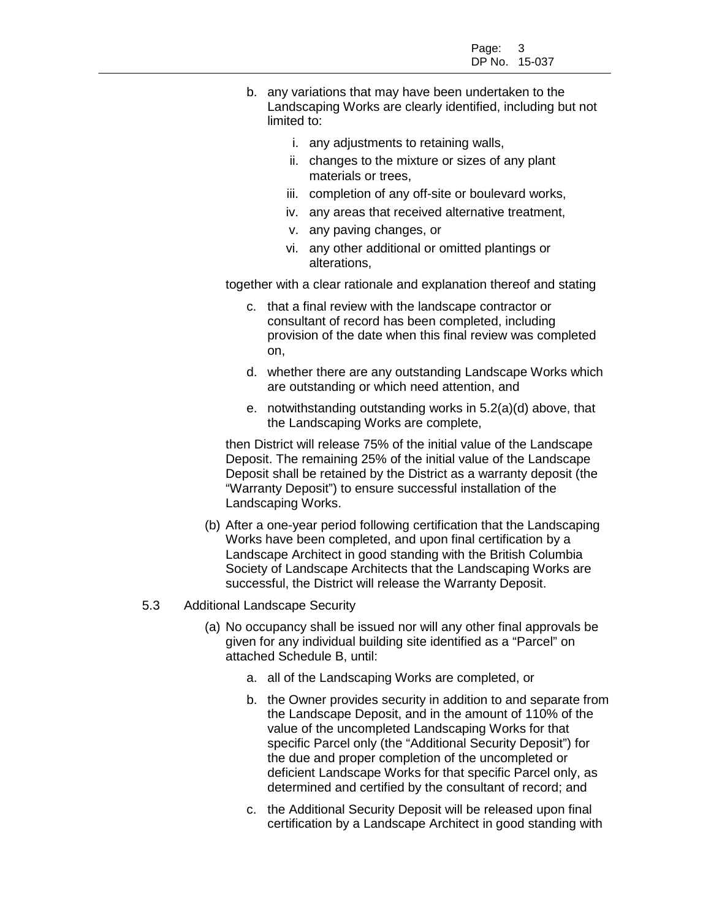- b. any variations that may have been undertaken to the Landscaping Works are clearly identified, including but not limited to:
	- i. any adjustments to retaining walls,
	- ii. changes to the mixture or sizes of any plant materials or trees,
	- iii. completion of any off-site or boulevard works,
	- iv. any areas that received alternative treatment,
	- v. any paving changes, or
	- vi. any other additional or omitted plantings or alterations,

together with a clear rationale and explanation thereof and stating

- c. that a final review with the landscape contractor or consultant of record has been completed, including provision of the date when this final review was completed on,
- d. whether there are any outstanding Landscape Works which are outstanding or which need attention, and
- e. notwithstanding outstanding works in 5.2(a)(d) above, that the Landscaping Works are complete,

then District will release 75% of the initial value of the Landscape Deposit. The remaining 25% of the initial value of the Landscape Deposit shall be retained by the District as a warranty deposit (the "Warranty Deposit") to ensure successful installation of the Landscaping Works.

(b) After a one-year period following certification that the Landscaping Works have been completed, and upon final certification by a Landscape Architect in good standing with the British Columbia Society of Landscape Architects that the Landscaping Works are successful, the District will release the Warranty Deposit.

#### 5.3 Additional Landscape Security

- (a) No occupancy shall be issued nor will any other final approvals be given for any individual building site identified as a "Parcel" on attached Schedule B, until:
	- a. all of the Landscaping Works are completed, or
	- b. the Owner provides security in addition to and separate from the Landscape Deposit, and in the amount of 110% of the value of the uncompleted Landscaping Works for that specific Parcel only (the "Additional Security Deposit") for the due and proper completion of the uncompleted or deficient Landscape Works for that specific Parcel only, as determined and certified by the consultant of record; and
	- c. the Additional Security Deposit will be released upon final certification by a Landscape Architect in good standing with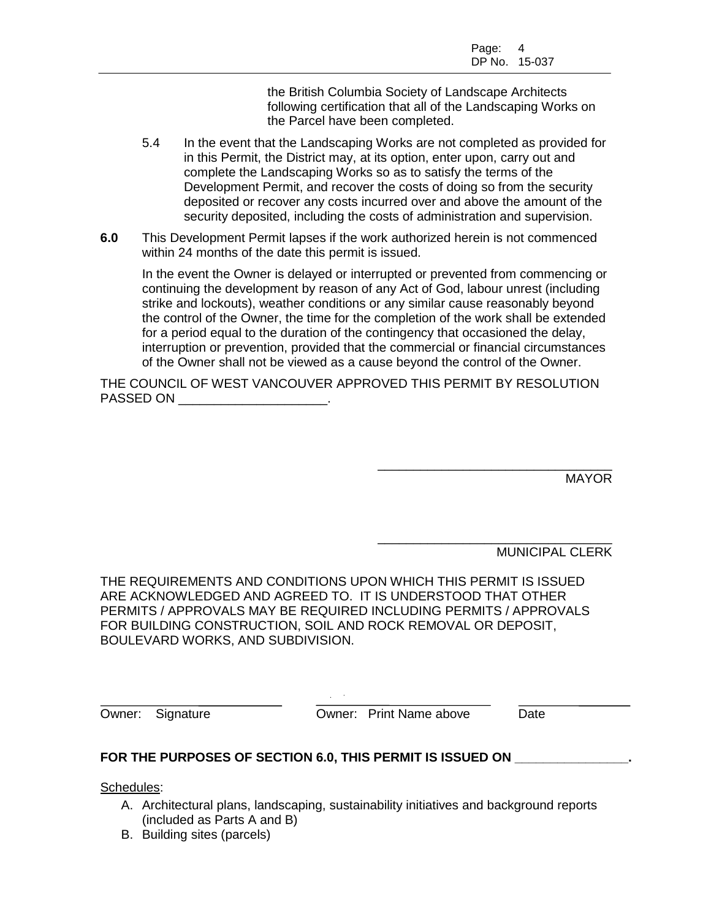the British Columbia Society of Landscape Architects following certification that all of the Landscaping Works on the Parcel have been completed.

- 5.4 In the event that the Landscaping Works are not completed as provided for in this Permit, the District may, at its option, enter upon, carry out and complete the Landscaping Works so as to satisfy the terms of the Development Permit, and recover the costs of doing so from the security deposited or recover any costs incurred over and above the amount of the security deposited, including the costs of administration and supervision.
- **6.0** This Development Permit lapses if the work authorized herein is not commenced within 24 months of the date this permit is issued.

In the event the Owner is delayed or interrupted or prevented from commencing or continuing the development by reason of any Act of God, labour unrest (including strike and lockouts), weather conditions or any similar cause reasonably beyond the control of the Owner, the time for the completion of the work shall be extended for a period equal to the duration of the contingency that occasioned the delay, interruption or prevention, provided that the commercial or financial circumstances of the Owner shall not be viewed as a cause beyond the control of the Owner.

THE COUNCIL OF WEST VANCOUVER APPROVED THIS PERMIT BY RESOLUTION PASSED ON **EXAMPLE SET ON** 

> \_\_\_\_\_\_\_\_\_\_\_\_\_\_\_\_\_\_\_\_\_\_\_\_\_\_\_\_\_\_\_\_\_ **MAYOR**

> \_\_\_\_\_\_\_\_\_\_\_\_\_\_\_\_\_\_\_\_\_\_\_\_\_\_\_\_\_\_\_\_\_ MUNICIPAL CLERK

THE REQUIREMENTS AND CONDITIONS UPON WHICH THIS PERMIT IS ISSUED ARE ACKNOWLEDGED AND AGREED TO. IT IS UNDERSTOOD THAT OTHER PERMITS / APPROVALS MAY BE REQUIRED INCLUDING PERMITS / APPROVALS FOR BUILDING CONSTRUCTION, SOIL AND ROCK REMOVAL OR DEPOSIT, BOULEVARD WORKS, AND SUBDIVISION.

**Owner: Signature Cowner: Print Name above Date** 

## **FOR THE PURPOSES OF SECTION 6.0, THIS PERMIT IS ISSUED ON \_\_\_\_\_\_\_\_\_\_\_\_\_\_\_\_.**

Schedules:

- A. Architectural plans, landscaping, sustainability initiatives and background reports (included as Parts A and B)
- B. Building sites (parcels)